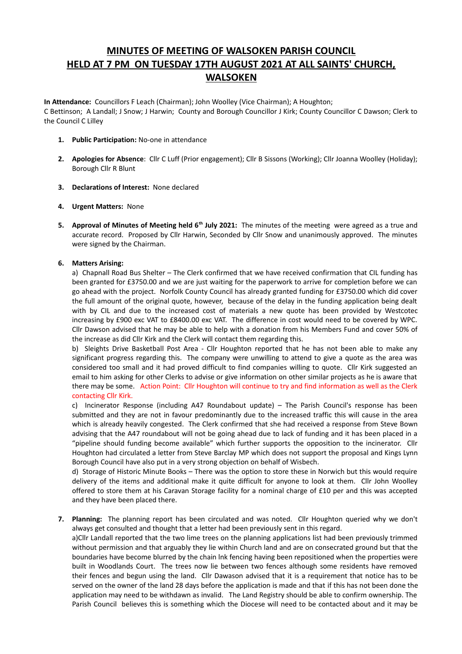# **MINUTES OF MEETING OF WALSOKEN PARISH COUNCIL HELD AT 7 PM ON TUESDAY 17TH AUGUST 2021 AT ALL SAINTS' CHURCH, WALSOKEN**

**In Attendance:** Councillors F Leach (Chairman); John Woolley (Vice Chairman); A Houghton; C Bettinson; A Landall; J Snow; J Harwin; County and Borough Councillor J Kirk; County Councillor C Dawson; Clerk to the Council C Lilley

- **1. Public Participation:** No-one in attendance
- **2. Apologies for Absence**: Cllr C Luff (Prior engagement); Cllr B Sissons (Working); Cllr Joanna Woolley (Holiday); Borough Cllr R Blunt
- **3. Declarations of Interest:** None declared
- **4. Urgent Matters:** None
- **5. Approval of Minutes of Meeting held 6th July 2021:** The minutes of the meeting were agreed as a true and accurate record. Proposed by Cllr Harwin, Seconded by Cllr Snow and unanimously approved. The minutes were signed by the Chairman.

## **6. Matters Arising:**

a) Chapnall Road Bus Shelter – The Clerk confirmed that we have received confirmation that CIL funding has been granted for £3750.00 and we are just waiting for the paperwork to arrive for completion before we can go ahead with the project. Norfolk County Council has already granted funding for £3750.00 which did cover the full amount of the original quote, however, because of the delay in the funding application being dealt with by CIL and due to the increased cost of materials a new quote has been provided by Westcotec increasing by £900 exc VAT to £8400.00 exc VAT. The difference in cost would need to be covered by WPC. Cllr Dawson advised that he may be able to help with a donation from his Members Fund and cover 50% of the increase as did Cllr Kirk and the Clerk will contact them regarding this.

b) Sleights Drive Basketball Post Area - Cllr Houghton reported that he has not been able to make any significant progress regarding this. The company were unwilling to attend to give a quote as the area was considered too small and it had proved difficult to find companies willing to quote. Cllr Kirk suggested an email to him asking for other Clerks to advise or give information on other similar projects as he is aware that there may be some. Action Point: Cllr Houghton will continue to try and find information as well as the Clerk contacting Cllr Kirk.

c) Incinerator Response (including A47 Roundabout update) – The Parish Council's response has been submitted and they are not in favour predominantly due to the increased traffic this will cause in the area which is already heavily congested. The Clerk confirmed that she had received a response from Steve Bown advising that the A47 roundabout will not be going ahead due to lack of funding and it has been placed in a "pipeline should funding become available" which further supports the opposition to the incinerator. Cllr Houghton had circulated a letter from Steve Barclay MP which does not support the proposal and Kings Lynn Borough Council have also put in a very strong objection on behalf of Wisbech.

d) Storage of Historic Minute Books – There was the option to store these in Norwich but this would require delivery of the items and additional make it quite difficult for anyone to look at them. Cllr John Woolley offered to store them at his Caravan Storage facility for a nominal charge of £10 per and this was accepted and they have been placed there.

**7. Planning:** The planning report has been circulated and was noted. Cllr Houghton queried why we don't always get consulted and thought that a letter had been previously sent in this regard.

a)Cllr Landall reported that the two lime trees on the planning applications list had been previously trimmed without permission and that arguably they lie within Church land and are on consecrated ground but that the boundaries have become blurred by the chain lnk fencing having been repositioned when the properties were built in Woodlands Court. The trees now lie between two fences although some residents have removed their fences and begun using the land. Cllr Dawason advised that it is a requirement that notice has to be served on the owner of the land 28 days before the application is made and that if this has not been done the application may need to be withdawn as invalid. The Land Registry should be able to confirm ownership. The Parish Council believes this is something which the Diocese will need to be contacted about and it may be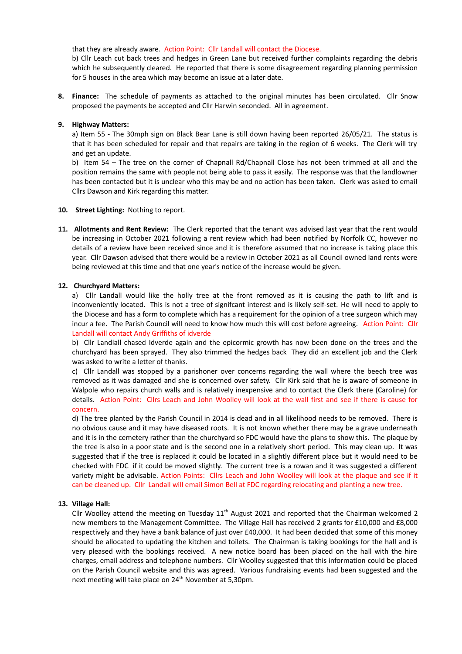that they are already aware. Action Point: Cllr Landall will contact the Diocese.

b) Cllr Leach cut back trees and hedges in Green Lane but received further complaints regarding the debris which he subsequently cleared. He reported that there is some disagreement regarding planning permission for 5 houses in the area which may become an issue at a later date.

**8. Finance:** The schedule of payments as attached to the original minutes has been circulated. Cllr Snow proposed the payments be accepted and Cllr Harwin seconded. All in agreement.

#### **9. Highway Matters:**

a) Item 55 - The 30mph sign on Black Bear Lane is still down having been reported 26/05/21. The status is that it has been scheduled for repair and that repairs are taking in the region of 6 weeks. The Clerk will try and get an update.

b) Item 54 – The tree on the corner of Chapnall Rd/Chapnall Close has not been trimmed at all and the position remains the same with people not being able to pass it easily. The response was that the landlowner has been contacted but it is unclear who this may be and no action has been taken. Clerk was asked to email Cllrs Dawson and Kirk regarding this matter.

#### **10. Street Lighting:** Nothing to report.

**11. Allotments and Rent Review:** The Clerk reported that the tenant was advised last year that the rent would be increasing in October 2021 following a rent review which had been notified by Norfolk CC, however no details of a review have been received since and it is therefore assumed that no increase is taking place this year. Cllr Dawson advised that there would be a review in October 2021 as all Council owned land rents were being reviewed at this time and that one year's notice of the increase would be given.

#### **12. Churchyard Matters:**

a) Cllr Landall would like the holly tree at the front removed as it is causing the path to lift and is inconveniently located. This is not a tree of signifcant interest and is likely self-set. He will need to apply to the Diocese and has a form to complete which has a requirement for the opinion of a tree surgeon which may incur a fee. The Parish Council will need to know how much this will cost before agreeing. Action Point: Cllr Landall will contact Andy Griffiths of idverde

b) Cllr Landlall chased Idverde again and the epicormic growth has now been done on the trees and the churchyard has been sprayed. They also trimmed the hedges back They did an excellent job and the Clerk was asked to write a letter of thanks.

c) Cllr Landall was stopped by a parishoner over concerns regarding the wall where the beech tree was removed as it was damaged and she is concerned over safety. Cllr Kirk said that he is aware of someone in Walpole who repairs church walls and is relatively inexpensive and to contact the Clerk there (Caroline) for details. Action Point: Cllrs Leach and John Woolley will look at the wall first and see if there is cause for concern.

d) The tree planted by the Parish Council in 2014 is dead and in all likelihood needs to be removed. There is no obvious cause and it may have diseased roots. It is not known whether there may be a grave underneath and it is in the cemetery rather than the churchyard so FDC would have the plans to show this. The plaque by the tree is also in a poor state and is the second one in a relatively short period. This may clean up. It was suggested that if the tree is replaced it could be located in a slightly different place but it would need to be checked with FDC if it could be moved slightly. The current tree is a rowan and it was suggested a different variety might be advisable. Action Points: Cllrs Leach and John Woolley will look at the plaque and see if it can be cleaned up. Cllr Landall will email Simon Bell at FDC regarding relocating and planting a new tree.

## **13. Village Hall:**

Cllr Woolley attend the meeting on Tuesday  $11<sup>th</sup>$  August 2021 and reported that the Chairman welcomed 2 new members to the Management Committee. The Village Hall has received 2 grants for £10,000 and £8,000 respectively and they have a bank balance of just over £40,000. It had been decided that some of this money should be allocated to updating the kitchen and toilets. The Chairman is taking bookings for the hall and is very pleased with the bookings received. A new notice board has been placed on the hall with the hire charges, email address and telephone numbers. Cllr Woolley suggested that this information could be placed on the Parish Council website and this was agreed. Various fundraising events had been suggested and the next meeting will take place on 24<sup>th</sup> November at 5,30pm.